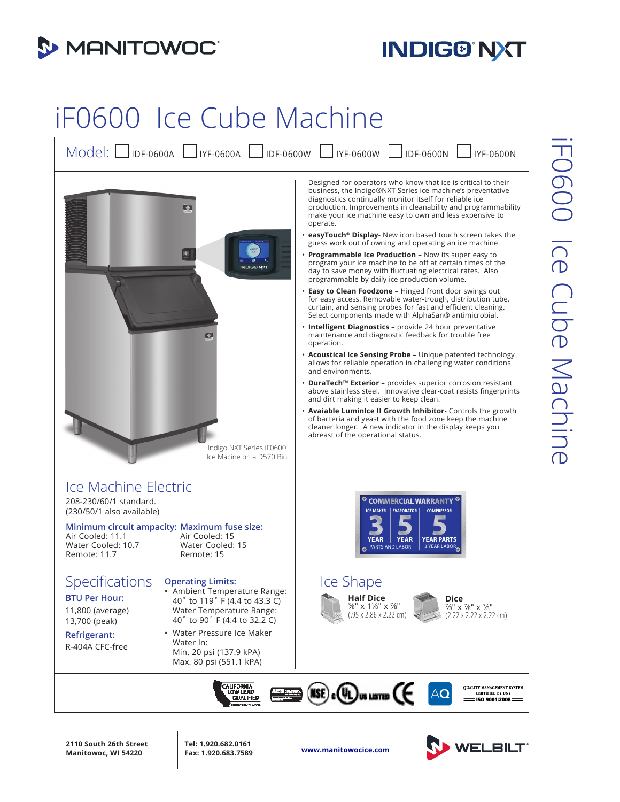

## **INDIG® NXT**

## iF0600 Ice Cube Machine